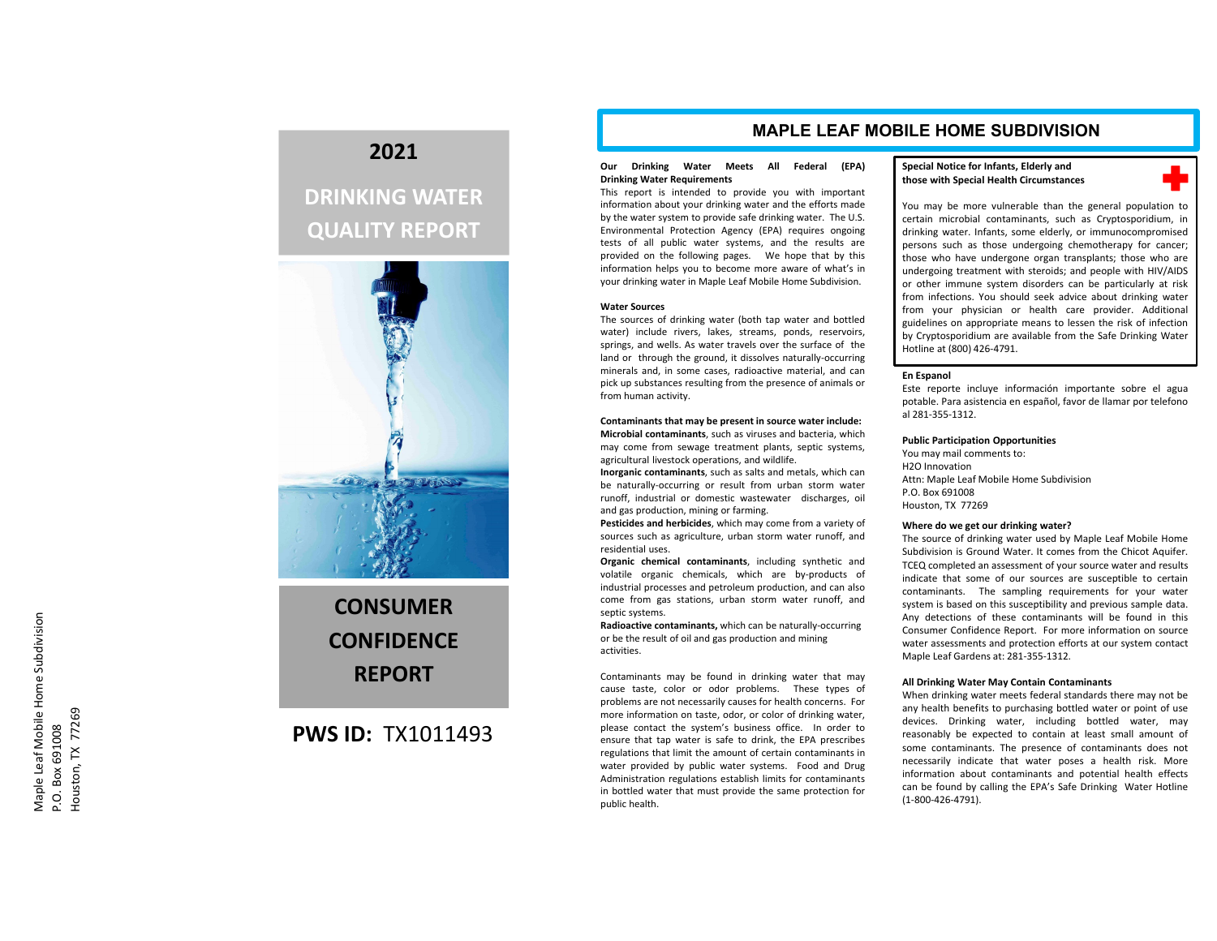# **2021**

# **DRINKING WATER QUALITY REPORT**



# **CONSUMERCONFIDENCEREPORT**

# **PWS ID:** TX1011493

# **MAPLE LEAF MOBILE HOME SUBDIVISION**

# **Our Drinking Water Meets All Federal (EPA) Drinking Water Requirements**

This report is intended to provide you with important information about your drinking water and the efforts made by the water system to provide safe drinking water. The U.S. Environmental Protection Agency (EPA) requires ongoing tests of all public water systems, and the results are provided on the following pages. We hope that by this information helps you to become more aware of what's in your drinking water in Maple Leaf Mobile Home Subdivision.

# **Water Sources**

The sources of drinking water (both tap water and bottled water) include rivers, lakes, streams, ponds, reservoirs, springs, and wells. As water travels over the surface of the land or through the ground, it dissolves naturally‐occurring minerals and, in some cases, radioactive material, and can pick up substances resulting from the presence of animals or from human activity.

**Contaminants that may be present in source water include: Microbial contaminants**, such as viruses and bacteria, which may come from sewage treatment plants, septic systems, agricultural livestock operations, and wildlife.

**Inorganic contaminants**, such as salts and metals, which can be naturally‐occurring or result from urban storm water runoff, industrial or domestic wastewater discharges, oil and gas production, mining or farming.

**Pesticides and herbicides**, which may come from <sup>a</sup> variety of sources such as agriculture, urban storm water runoff, and residential uses.

**Organic chemical contaminants**, including synthetic and volatile organic chemicals, which are by‐products of industrial processes and petroleum production, and can also come from gas stations, urban storm water runoff, and septic systems.

**Radioactive contaminants,** which can be naturally‐occurring or be the result of oil and gas production and mining activities.

Contaminants may be found in drinking water that may cause taste, color or odor problems. These types of problems are not necessarily causes for health concerns. For more information on taste, odor, or color of drinking water, please contact the system's business office. In order to ensure that tap water is safe to drink, the EPA prescribes regulations that limit the amount of certain contaminants in water provided by public water systems. Food and Drug Administration regulations establish limits for contaminants in bottled water that must provide the same protection for public health.

# **Special Notice for Infants, Elderly and those with Special Health Circumstances**



You may be more vulnerable than the general population to certain microbial contaminants, such as Cryptosporidium, in drinking water. Infants, some elderly, or immunocompromised persons such as those undergoing chemotherapy for cancer; those who have undergone organ transplants; those who are undergoing treatment with steroids; and people with HIV/AIDS or other immune system disorders can be particularly at risk from infections. You should seek advice about drinking water from your physician or health care provider. Additional guidelines on appropriate means to lessen the risk of infection by Cryptosporidium are available from the Safe Drinking Water Hotline at (800) 426‐4791.

### **En Espanol**

Este reporte incluye información importante sobre el agua potable. Para asistencia en español, favor de llamar por telefono al 281‐355‐1312.

### **Public Participation Opportunities**

You may mail comments to: H2O InnovationAttn: Maple Leaf Mobile Home Subdivision P.O. Box 691008Houston, TX 77269

# **Where do we get our drinking water?**

The source of drinking water used by Maple Leaf Mobile Home Subdivision is Ground Water. It comes from the Chicot Aquifer. TCEQ completed an assessment of your source water and results indicate that some of our sources are susceptible to certain contaminants. The sampling requirements for your water system is based on this susceptibility and previous sample data. Any detections of these contaminants will be found in this Consumer Confidence Report. For more information on source water assessments and protection efforts at our system contact Maple Leaf Gardens at: 281‐355‐1312.

### **All Drinking Water May Contain Contaminants**

When drinking water meets federal standards there may not be any health benefits to purchasing bottled water or point of use devices. Drinking water, including bottled water, may reasonably be expected to contain at least small amount of some contaminants. The presence of contaminants does not necessarily indicate that water poses <sup>a</sup> health risk. More information about contaminants and potential health effects can be found by calling the EPA's Safe Drinking Water Hotline (1‐800‐426‐4791).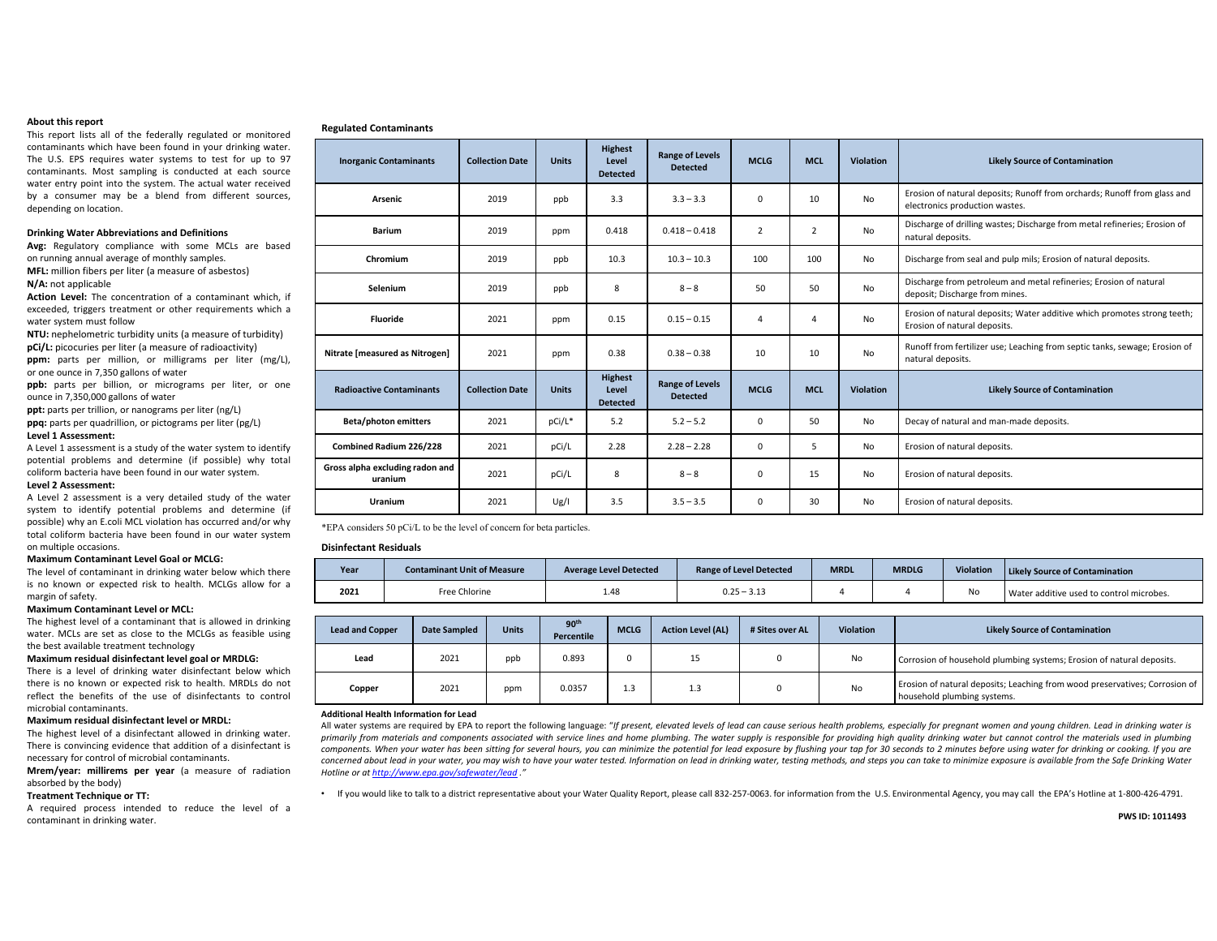### **About this report**

This report lists all of the federally regulated or monitored contaminants which have been found in your drinking water. The U.S. EPS requires water systems to test for up to 97 contaminants. Most sampling is conducted at each source water entry point into the system. The actual water received by <sup>a</sup> consumer may be <sup>a</sup> blend from different sources, depending on location.

### **Drinking Water Abbreviations and Definitions**

**Avg:** Regulatory compliance with some MCLs are based on running annual average of monthly samples.

**MFL:** million fibers per liter (a measure of asbestos) **N/A:** not applicable

**Action Level:** The concentration of <sup>a</sup> contaminant which, if exceeded, triggers treatment or other requirements which <sup>a</sup> water system must follow

**NTU:** nephelometric turbidity units (a measure of turbidity) **pCi/L:** picocuries per liter (a measure of radioactivity)

**ppm:** parts per million, or milligrams per liter (mg/L), or one ounce in 7,350 gallons of water

**ppb:** parts per billion, or micrograms per liter, or one ounce in 7,350,000 gallons of water

**ppt:** parts per trillion, or nanograms per liter (ng/L)

**ppq:** parts per quadrillion, or pictograms per liter (pg/L)

# **Level 1 Assessment:**

A Level 1 assessment is <sup>a</sup> study of the water system to identify potential problems and determine (if possible) why total coliform bacteria have been found in our water system.

#### **Level 2 Assessment:**

A Level 2 assessment is <sup>a</sup> very detailed study of the water system to identify potential problems and determine (if possible) why an E.coli MCL violation has occurred and/or why total coliform bacteria have been found in our water system on multiple occasions.

### **Maximum Contaminant Level Goal or MCLG:**

The level of contaminant in drinking water below which there is no known or expected risk to health. MCLGs allow for <sup>a</sup> margin of safety.

### **Maximum Contaminant Level or MCL:**

The highest level of <sup>a</sup> contaminant that is allowed in drinking water. MCLs are set as close to the MCLGs as feasible using the best available treatment technology

# **Maximum residual disinfectant level goal or MRDLG:**

There is <sup>a</sup> level of drinking water disinfectant below which there is no known or expected risk to health. MRDLs do not reflect the benefits of the use of disinfectants to controlmicrobial contaminants.

# **Maximum residual disinfectant level or MRDL:**

The highest level of <sup>a</sup> disinfectant allowed in drinking water. There is convincing evidence that addition of <sup>a</sup> disinfectant is necessary for control of microbial contaminants.

**Mrem/year: millirems per year** (a measure of radiation absorbed by the body)

# **Treatment Technique or TT:**

A required process intended to reduce the level of <sup>a</sup> contaminant in drinking water.

| <b>Inorganic Contaminants</b>              | <b>Collection Date</b> | <b>Units</b> | <b>Highest</b><br>Level<br><b>Detected</b> | <b>Range of Levels</b><br><b>Detected</b> | <b>MCLG</b>    | <b>MCL</b>     | <b>Violation</b> | <b>Likely Source of Contamination</b>                                                                      |
|--------------------------------------------|------------------------|--------------|--------------------------------------------|-------------------------------------------|----------------|----------------|------------------|------------------------------------------------------------------------------------------------------------|
| <b>Arsenic</b>                             | 2019                   | ppb          | 3.3                                        | $3.3 - 3.3$                               | 0              | 10             | <b>No</b>        | Erosion of natural deposits; Runoff from orchards; Runoff from glass and<br>electronics production wastes. |
| <b>Barium</b>                              | 2019                   | ppm          | 0.418                                      | $0.418 - 0.418$                           | $\overline{2}$ | 2              | <b>No</b>        | Discharge of drilling wastes; Discharge from metal refineries; Erosion of<br>natural deposits.             |
| Chromium                                   | 2019                   | ppb          | 10.3                                       | $10.3 - 10.3$                             | 100            | 100            | No               | Discharge from seal and pulp mils; Erosion of natural deposits.                                            |
| Selenium                                   | 2019                   | ppb          | 8                                          | $8 - 8$                                   | 50             | 50             | <b>No</b>        | Discharge from petroleum and metal refineries; Erosion of natural<br>deposit; Discharge from mines.        |
| Fluoride                                   | 2021                   | ppm          | 0.15                                       | $0.15 - 0.15$                             | $\overline{4}$ | $\overline{4}$ | No               | Erosion of natural deposits; Water additive which promotes strong teeth;<br>Erosion of natural deposits.   |
| Nitrate [measured as Nitrogen]             | 2021                   | ppm          | 0.38                                       | $0.38 - 0.38$                             | 10             | 10             | <b>No</b>        | Runoff from fertilizer use; Leaching from septic tanks, sewage; Erosion of<br>natural deposits.            |
| <b>Radioactive Contaminants</b>            | <b>Collection Date</b> | <b>Units</b> | <b>Highest</b><br>Level<br><b>Detected</b> | <b>Range of Levels</b><br><b>Detected</b> | <b>MCLG</b>    | <b>MCL</b>     | <b>Violation</b> | <b>Likely Source of Contamination</b>                                                                      |
| <b>Beta/photon emitters</b>                | 2021                   | pCi/L*       | 5.2                                        | $5.2 - 5.2$                               | 0              | 50             | No               | Decay of natural and man-made deposits.                                                                    |
| Combined Radium 226/228                    | 2021                   | pCi/L        | 2.28                                       | $2.28 - 2.28$                             | 0              | 5              | No               | Erosion of natural deposits.                                                                               |
| Gross alpha excluding radon and<br>uranium | 2021                   | pCi/L        | 8                                          | $8 - 8$                                   | 0              | 15             | No               | Erosion of natural deposits.                                                                               |
| Uranium                                    | 2021                   | Ug/I         | 3.5                                        | $3.5 - 3.5$                               | 0              | 30             | No               | Erosion of natural deposits.                                                                               |

\*EPA considers 50 pCi/L to be the level of concern for beta particles.

# **Disinfectant Residuals**

**Regulated Contaminants**

| Year | <b>Contaminant Unit of Measure</b> | <b>Average Level Detected</b> | <b>Range of Level Detected</b> | MRDL | <b>MRDLG</b> | Violation | <b>Likely Source of Contamination</b>    |
|------|------------------------------------|-------------------------------|--------------------------------|------|--------------|-----------|------------------------------------------|
| 2021 | Free Chlorine                      | 1.48                          | $0.25 - 3.13$                  |      |              | No        | Water additive used to control microbes. |

| <b>Lead and Copper</b> | <b>Date Sampled</b> | <b>Units</b> | 90 <sup>th</sup><br>Percentile | <b>MCLG</b> | <b>Action Level (AL)</b> | # Sites over AL | <b>Violation</b> | <b>Likely Source of Contamination</b>                                                                      |
|------------------------|---------------------|--------------|--------------------------------|-------------|--------------------------|-----------------|------------------|------------------------------------------------------------------------------------------------------------|
| Lead                   | 2021                | ppb          | 0.893                          |             | 15                       |                 | No               | Corrosion of household plumbing systems; Erosion of natural deposits.                                      |
| Copper                 | 2021                | ppm          | 0.0357                         | 1.3         | 1.3                      |                 | No               | Erosion of natural deposits; Leaching from wood preservatives; Corrosion of<br>household plumbing systems. |

#### **Additional Health Information for Lead**

All water systems are required by EPA to report the following language: "If present, elevated levels of lead can cause serious health problems, especially for pregnant women and young children. Lead in drinking water is primarily from materials and components associated with service lines and home plumbing. The water supply is responsible for providing high quality drinking water but cannot control the materials used in plumbing components. When your water has been sitting for several hours, you can minimize the potential for lead exposure by flushing your tap for 30 seconds to 2 minutes before using water for drinking or cooking. If you are concerned about lead in your water, you may wish to have your water tested. Information on lead in drinking water, testing methods, and steps you can take to minimize exposure is available from the Safe Drinking Water *Hotline or at http://www.epa.gov/safewater/lead ."*

• If you would like to talk to <sup>a</sup> district representative about your Water Quality Report, please call 832‐257‐0063. for information from the U.S. Environmental Agency, you may call the EPA's Hotline at 1‐800‐426‐4791.